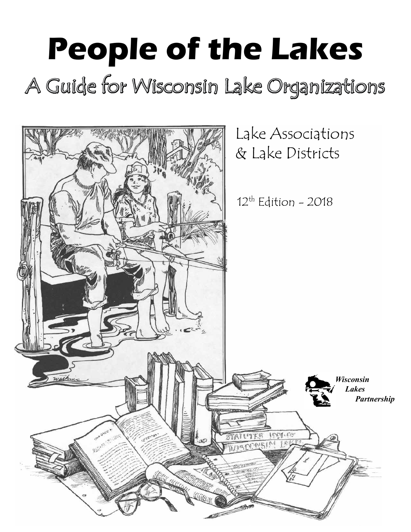# **People of the Lakes** A Guide for Wisconsin Lake Organizations

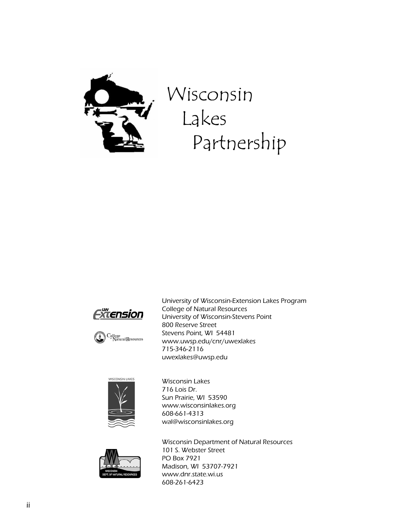

### Wisconsin Lakes Partnership





University of Wisconsin-Extension Lakes Program College of Natural Resources University of Wisconsin-Stevens Point 800 Reserve Street Stevens Point, WI 54481 www.uwsp.edu/cnr/uwexlakes 715-346-2116 uwexlakes@uwsp.edu



Wisconsin Lakes 716 Lois Dr. Sun Prairie, WI 53590 www.wisconsinlakes.org 608-661-4313 wal@wisconsinlakes.org



Wisconsin Department of Natural Resources 101 S. Webster Street PO Box 7921 Madison, WI 53707-7921 www.dnr.state.wi.us 608-261-6423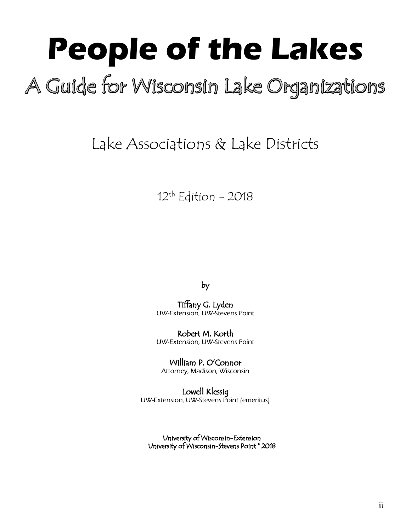# **People of the Lakes**

### A Guide for Wisconsin Lake Organizations

### Lake Associations & Lake Districts

#### $12<sup>th</sup>$  Edition - 2018

by

Tiffany G. Lyden UW-Extension, UW-Stevens Point

Robert M. Korth UW-Extension, UW-Stevens Point

William P. O'Connor Attorney, Madison, Wisconsin

Lowell Klessig UW-Extension, UW-Stevens Point (emeritus)

University of Wisconsin-Extension University of Wisconsin-Stevens Point \* 2018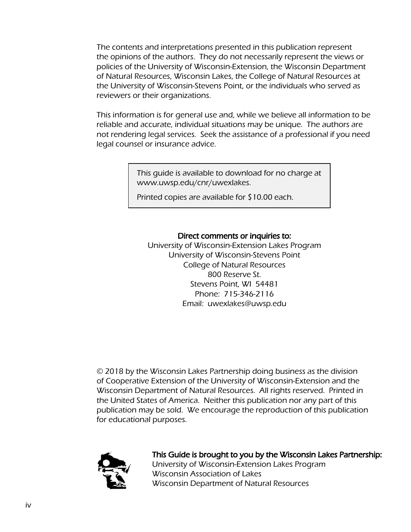The contents and interpretations presented in this publication represent the opinions of the authors. They do not necessarily represent the views or policies of the University of Wisconsin-Extension, the Wisconsin Department of Natural Resources, Wisconsin Lakes, the College of Natural Resources at the University of Wisconsin-Stevens Point, or the individuals who served as reviewers or their organizations.

This information is for general use and, while we believe all information to be reliable and accurate, individual situations may be unique. The authors are not rendering legal services. Seek the assistance of a professional if you need legal counsel or insurance advice.

> This guide is available to download for no charge at www.uwsp.edu/cnr/uwexlakes.

Printed copies are available for \$10.00 each.

#### Direct comments or inquiries to:

University of Wisconsin-Extension Lakes Program University of Wisconsin-Stevens Point College of Natural Resources 800 Reserve St. Stevens Point, WI 54481 Phone: 715-346-2116 Email: uwexlakes@uwsp.edu

© 2018 by the Wisconsin Lakes Partnership doing business as the division of Cooperative Extension of the University of Wisconsin-Extension and the Wisconsin Department of Natural Resources. All rights reserved. Printed in the United States of America. Neither this publication nor any part of this publication may be sold. We encourage the reproduction of this publication for educational purposes.



This Guide is brought to you by the Wisconsin Lakes Partnership: University of Wisconsin-Extension Lakes Program Wisconsin Association of Lakes Wisconsin Department of Natural Resources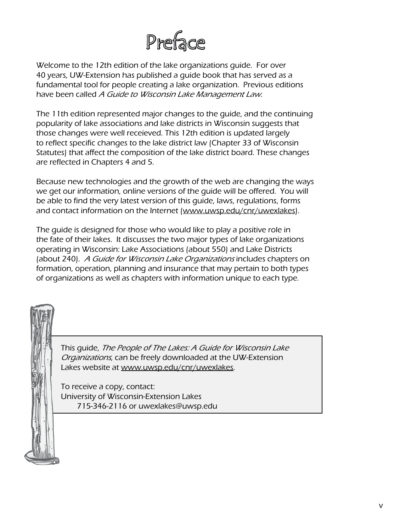

Welcome to the 12th edition of the lake organizations guide. For over 40 years, UW-Extension has published a guide book that has served as a fundamental tool for people creating a lake organization. Previous editions have been called A Guide to Wisconsin Lake Management Law.

The 11th edition represented major changes to the guide, and the continuing popularity of lake associations and lake districts in Wisconsin suggests that those changes were well receieved. This 12th edition is updated largely to reflect specific changes to the lake district law (Chapter 33 of Wisconsin Statutes) that affect the composition of the lake district board. These changes are reflected in Chapters 4 and 5.

Because new technologies and the growth of the web are changing the ways we get our information, online versions of the guide will be offered. You will be able to find the very latest version of this guide, laws, regulations, forms and contact information on the Internet [\(www.uwsp.edu/cnr/uwexlakes\)](http://www.uwsp.edu/cnr/uwexlakes).

The guide is designed for those who would like to play a positive role in the fate of their lakes. It discusses the two major types of lake organizations operating in Wisconsin: Lake Associations (about 550) and Lake Districts (about 240). A Guide for Wisconsin Lake Organizations includes chapters on formation, operation, planning and insurance that may pertain to both types of organizations as well as chapters with information unique to each type.

This guide, The People of The Lakes: A Guide for Wisconsin Lake Organizations, can be freely downloaded at the UW-Extension Lakes website at [www.uwsp.edu/cnr/uwexlakes.](http://www.uwsp.edu/cnr/uwexlakes)

To receive a copy, contact: University of Wisconsin-Extension Lakes 715-346-2116 or uwexlakes@uwsp.edu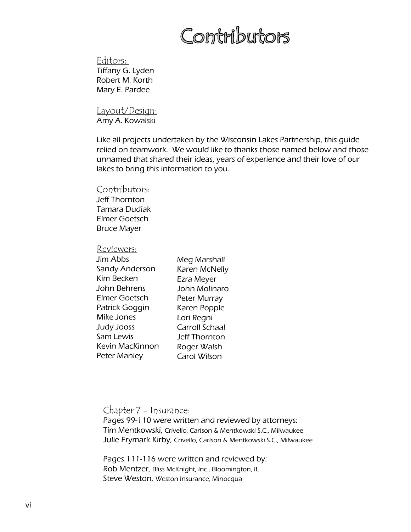### Contributors

Editors: Tiffany G. Lyden Robert M. Korth Mary E. Pardee

Layout/Design: Amy A. Kowalski

Like all projects undertaken by the Wisconsin Lakes Partnership, this guide relied on teamwork. We would like to thanks those named below and those unnamed that shared their ideas, years of experience and their love of our lakes to bring this information to you.

Contributors:

Jeff Thornton Tamara Dudiak Elmer Goetsch Bruce Mayer

Reviewers:

| Jim Abbs          | Meg Marshall          |
|-------------------|-----------------------|
| Sandy Anderson    | Karen McNelly         |
| <b>Kim Becken</b> | Ezra Meyer            |
| John Behrens      | John Molinaro         |
| Elmer Goetsch     | Peter Murray          |
| Patrick Goggin    | Karen Popple          |
| Mike Jones        | Lori Regni            |
| Judy Jooss        | <b>Carroll Schaal</b> |
| Sam Lewis         | <b>Jeff Thornton</b>  |
| Kevin MacKinnon   | Roger Walsh           |
| Peter Manley      | Carol Wilson          |
|                   |                       |

Chapter 7 - Insurance:

Pages 99-110 were written and reviewed by attorneys: Tim Mentkowski, Crivello, Carlson & Mentkowski S.C., Milwaukee Julie Frymark Kirby, Crivello, Carlson & Mentkowski S.C., Milwaukee

Pages 111-116 were written and reviewed by: Rob Mentzer, Bliss McKnight, Inc., Bloomington, IL Steve Weston, Weston Insurance, Minocqua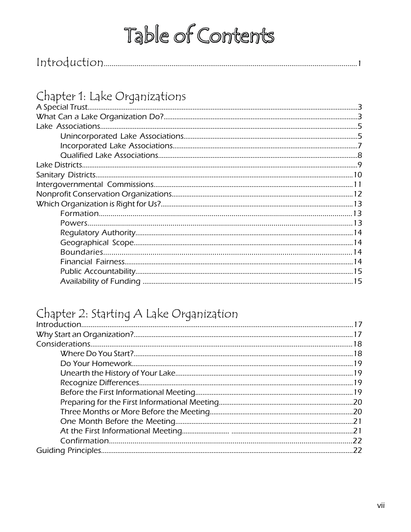#### Chapter 1: Lake Organizations

#### Chapter 2: Starting A Lake Organization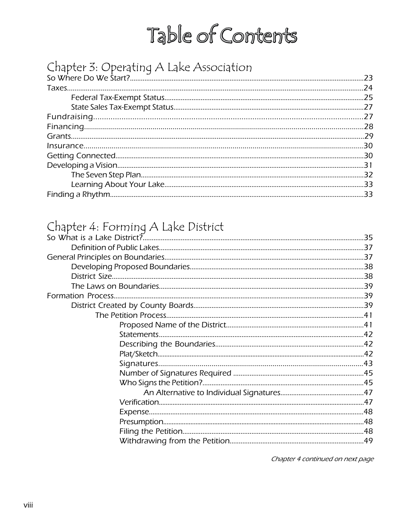#### Chapter 3: Operating A Lake Association

#### Chapter 4: Forming A Lake District

Chapter 4 continued on next page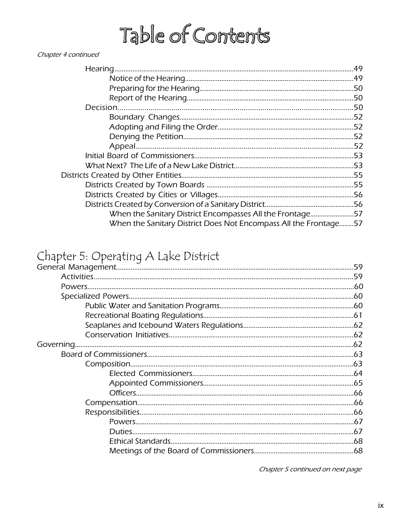#### Chapter 4 continued

| When the Sanitary District Encompasses All the Frontage57        |  |
|------------------------------------------------------------------|--|
| When the Sanitary District Does Not Encompass All the Frontage57 |  |

#### Chapter 5: Operating A Lake District

Chapter 5 continued on next page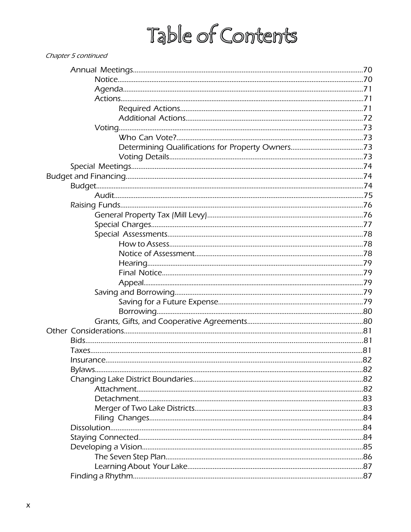| Chapter 5 continued |  |
|---------------------|--|
|                     |  |
|                     |  |
|                     |  |
|                     |  |
|                     |  |
|                     |  |
|                     |  |
|                     |  |
|                     |  |
|                     |  |
|                     |  |
|                     |  |
|                     |  |
|                     |  |
|                     |  |
|                     |  |
|                     |  |
|                     |  |
|                     |  |
|                     |  |
|                     |  |
|                     |  |
|                     |  |
|                     |  |
|                     |  |
|                     |  |
|                     |  |
|                     |  |
|                     |  |
|                     |  |
|                     |  |
|                     |  |
|                     |  |
|                     |  |
|                     |  |
|                     |  |
|                     |  |
|                     |  |
|                     |  |
|                     |  |
|                     |  |
|                     |  |
|                     |  |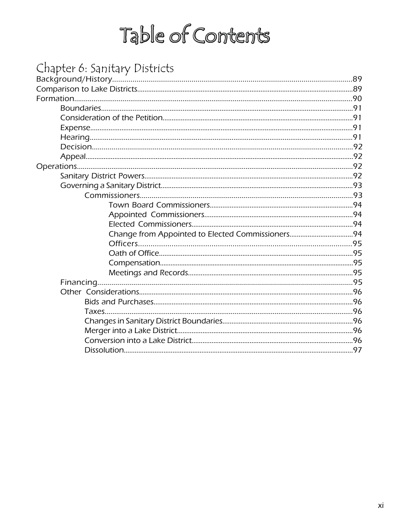#### Chapter 6: Sanitary Districts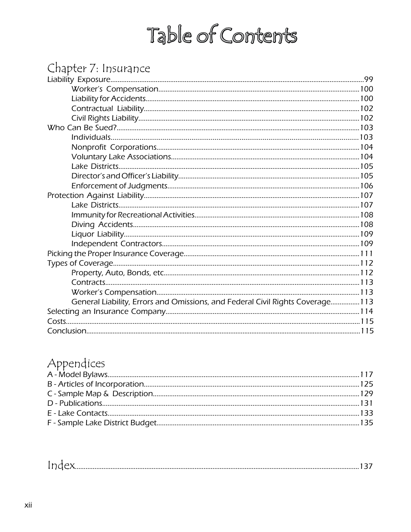#### Chapter 7: Insurance

| General Liability, Errors and Omissions, and Federal Civil Rights Coverage 113 |  |
|--------------------------------------------------------------------------------|--|
|                                                                                |  |
|                                                                                |  |
|                                                                                |  |
|                                                                                |  |

#### Appendices

|--|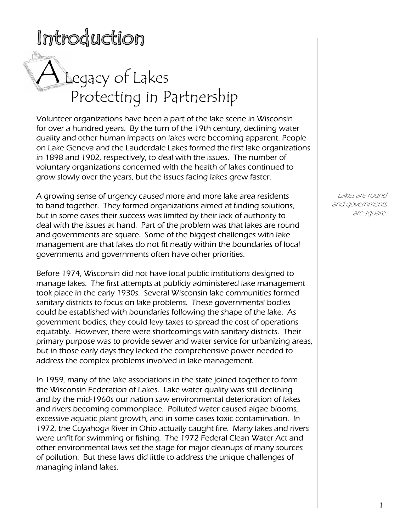### Introduction

# A Legacy of Lakes Protecting in Partnership

Volunteer organizations have been a part of the lake scene in Wisconsin for over a hundred years. By the turn of the 19th century, declining water quality and other human impacts on lakes were becoming apparent. People on Lake Geneva and the Lauderdale Lakes formed the first lake organizations in 1898 and 1902, respectively, to deal with the issues. The number of voluntary organizations concerned with the health of lakes continued to grow slowly over the years, but the issues facing lakes grew faster.

A growing sense of urgency caused more and more lake area residents to band together. They formed organizations aimed at finding solutions, but in some cases their success was limited by their lack of authority to deal with the issues at hand. Part of the problem was that lakes are round and governments are square. Some of the biggest challenges with lake management are that lakes do not fit neatly within the boundaries of local governments and governments often have other priorities.

Before 1974, Wisconsin did not have local public institutions designed to manage lakes. The first attempts at publicly administered lake management took place in the early 1930s. Several Wisconsin lake communities formed sanitary districts to focus on lake problems. These governmental bodies could be established with boundaries following the shape of the lake. As government bodies, they could levy taxes to spread the cost of operations equitably. However, there were shortcomings with sanitary districts. Their primary purpose was to provide sewer and water service for urbanizing areas, but in those early days they lacked the comprehensive power needed to address the complex problems involved in lake management.

In 1959, many of the lake associations in the state joined together to form the Wisconsin Federation of Lakes. Lake water quality was still declining and by the mid-1960s our nation saw environmental deterioration of lakes and rivers becoming commonplace. Polluted water caused algae blooms, excessive aquatic plant growth, and in some cases toxic contamination. In 1972, the Cuyahoga River in Ohio actually caught fire. Many lakes and rivers were unfit for swimming or fishing. The 1972 Federal Clean Water Act and other environmental laws set the stage for major cleanups of many sources of pollution. But these laws did little to address the unique challenges of managing inland lakes.

Lakes are round and governments are square.